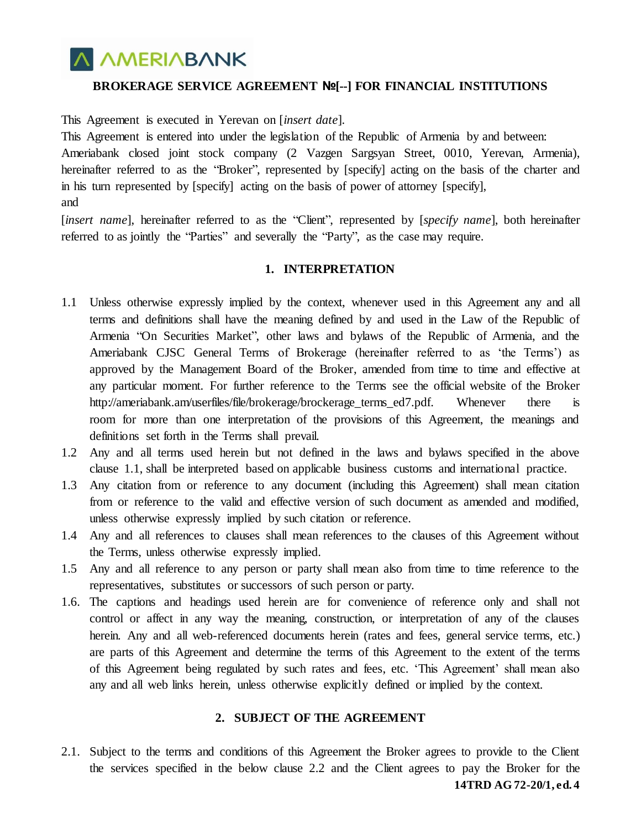# **A AMERIABANK**

## **BROKERAGE SERVICE AGREEMENT №[--] FOR FINANCIAL INSTITUTIONS**

This Agreement is executed in Yerevan on [*insert date*].

This Agreement is entered into under the legislation of the Republic of Armenia by and between: Ameriabank closed joint stock company (2 Vazgen Sargsyan Street, 0010, Yerevan, Armenia), hereinafter referred to as the "Broker", represented by [specify] acting on the basis of the charter and in his turn represented by [specify] acting on the basis of power of attorney [specify], and

[*insert name*], hereinafter referred to as the "Client", represented by [*specify name*], both hereinafter referred to as jointly the "Parties" and severally the "Party", as the case may require.

## **1. INTERPRETATION**

- 1.1 Unless otherwise expressly implied by the context, whenever used in this Agreement any and all terms and definitions shall have the meaning defined by and used in the Law of the Republic of Armenia "On Securities Market", other laws and bylaws of the Republic of Armenia, and the Ameriabank CJSC General Terms of Brokerage (hereinafter referred to as 'the Terms') as approved by the Management Board of the Broker, amended from time to time and effective at any particular moment. For further reference to the Terms see the official website of the Broker http://ameriabank.am/userfiles/file/brokerage/brockerage\_terms\_ed7.pdf. Whenever there is room for more than one interpretation of the provisions of this Agreement, the meanings and definitions set forth in the Terms shall prevail.
- 1.2 Any and all terms used herein but not defined in the laws and bylaws specified in the above clause 1.1, shall be interpreted based on applicable business customs and international practice.
- 1.3 Any citation from or reference to any document (including this Agreement) shall mean citation from or reference to the valid and effective version of such document as amended and modified, unless otherwise expressly implied by such citation or reference.
- 1.4 Any and all references to clauses shall mean references to the clauses of this Agreement without the Terms, unless otherwise expressly implied.
- 1.5 Any and all reference to any person or party shall mean also from time to time reference to the representatives, substitutes or successors of such person or party.
- 1.6. The captions and headings used herein are for convenience of reference only and shall not control or affect in any way the meaning, construction, or interpretation of any of the clauses herein. Any and all web-referenced documents herein (rates and fees, general service terms, etc.) are parts of this Agreement and determine the terms of this Agreement to the extent of the terms of this Agreement being regulated by such rates and fees, etc. 'This Agreement' shall mean also any and all web links herein, unless otherwise explicitly defined or implied by the context.

## **2. SUBJECT OF THE AGREEMENT**

2.1. Subject to the terms and conditions of this Agreement the Broker agrees to provide to the Client the services specified in the below clause 2.2 and the Client agrees to pay the Broker for the

**14TRD AG 72-20/1, ed. 4**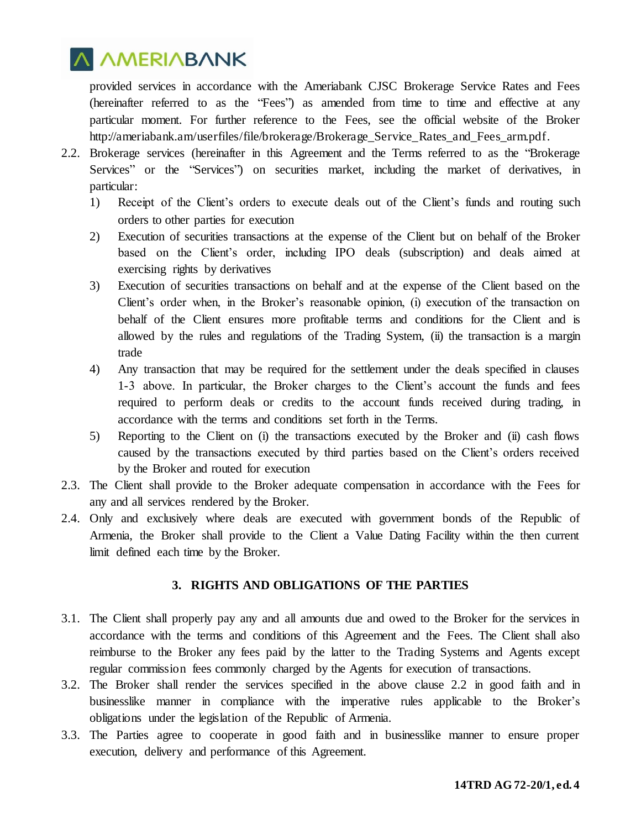

provided services in accordance with the Ameriabank CJSC Brokerage Service Rates and Fees (hereinafter referred to as the "Fees") as amended from time to time and effective at any particular moment. For further reference to the Fees, see the official website of the Broker [http://ameriabank.am/userfiles/file/brokerage/Brokerage\\_Service\\_Rates\\_and\\_Fees\\_arm.pdf.](http://ameriabank.am/userfiles/file/brokerage/Brokerage_Service_Rates_and_Fees_arm.pdf)

- 2.2. Brokerage services (hereinafter in this Agreement and the Terms referred to as the "Brokerage Services" or the "Services") on securities market, including the market of derivatives, in particular:
	- 1) Receipt of the Client's orders to execute deals out of the Client's funds and routing such orders to other parties for execution
	- 2) Execution of securities transactions at the expense of the Client but on behalf of the Broker based on the Client's order, including IPO deals (subscription) and deals aimed at exercising rights by derivatives
	- 3) Execution of securities transactions on behalf and at the expense of the Client based on the Client's order when, in the Broker's reasonable opinion, (i) execution of the transaction on behalf of the Client ensures more profitable terms and conditions for the Client and is allowed by the rules and regulations of the Trading System, (ii) the transaction is a margin trade
	- 4) Any transaction that may be required for the settlement under the deals specified in clauses 1-3 above. In particular, the Broker charges to the Client's account the funds and fees required to perform deals or credits to the account funds received during trading, in accordance with the terms and conditions set forth in the Terms.
	- 5) Reporting to the Client on (i) the transactions executed by the Broker and (ii) cash flows caused by the transactions executed by third parties based on the Client's orders received by the Broker and routed for execution
- 2.3. The Client shall provide to the Broker adequate compensation in accordance with the Fees for any and all services rendered by the Broker.
- 2.4. Only and exclusively where deals are executed with government bonds of the Republic of Armenia, the Broker shall provide to the Client a Value Dating Facility within the then current limit defined each time by the Broker.

## **3. RIGHTS AND OBLIGATIONS OF THE PARTIES**

- 3.1. The Client shall properly pay any and all amounts due and owed to the Broker for the services in accordance with the terms and conditions of this Agreement and the Fees. The Client shall also reimburse to the Broker any fees paid by the latter to the Trading Systems and Agents except regular commission fees commonly charged by the Agents for execution of transactions.
- 3.2. The Broker shall render the services specified in the above clause 2.2 in good faith and in businesslike manner in compliance with the imperative rules applicable to the Broker's obligations under the legislation of the Republic of Armenia.
- 3.3. The Parties agree to cooperate in good faith and in businesslike manner to ensure proper execution, delivery and performance of this Agreement.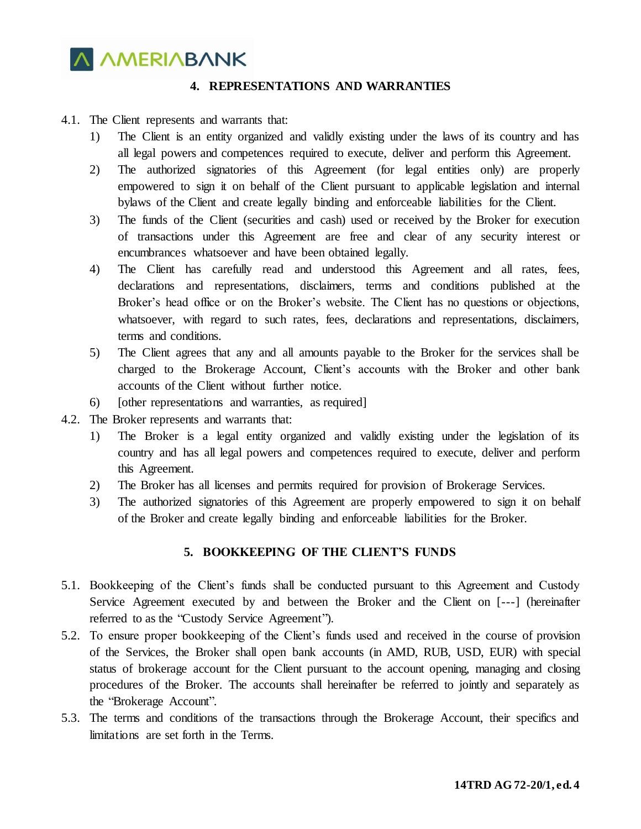

## **4. REPRESENTATIONS AND WARRANTIES**

#### 4.1. The Client represents and warrants that:

- 1) The Client is an entity organized and validly existing under the laws of its country and has all legal powers and competences required to execute, deliver and perform this Agreement.
- 2) The authorized signatories of this Agreement (for legal entities only) are properly empowered to sign it on behalf of the Client pursuant to applicable legislation and internal bylaws of the Client and create legally binding and enforceable liabilities for the Client.
- 3) The funds of the Client (securities and cash) used or received by the Broker for execution of transactions under this Agreement are free and clear of any security interest or encumbrances whatsoever and have been obtained legally.
- 4) The Client has carefully read and understood this Agreement and all rates, fees, declarations and representations, disclaimers, terms and conditions published at the Broker's head office or on the Broker's website. The Client has no questions or objections, whatsoever, with regard to such rates, fees, declarations and representations, disclaimers, terms and conditions.
- 5) The Client agrees that any and all amounts payable to the Broker for the services shall be charged to the Brokerage Account, Client's accounts with the Broker and other bank accounts of the Client without further notice.
- 6) [other representations and warranties, as required]
- 4.2. The Broker represents and warrants that:
	- 1) The Broker is a legal entity organized and validly existing under the legislation of its country and has all legal powers and competences required to execute, deliver and perform this Agreement.
	- 2) The Broker has all licenses and permits required for provision of Brokerage Services.
	- 3) The authorized signatories of this Agreement are properly empowered to sign it on behalf of the Broker and create legally binding and enforceable liabilities for the Broker.

## **5. BOOKKEEPING OF THE CLIENT'S FUNDS**

- 5.1. Bookkeeping of the Client's funds shall be conducted pursuant to this Agreement and Custody Service Agreement executed by and between the Broker and the Client on [---] (hereinafter referred to as the "Custody Service Agreement").
- 5.2. To ensure proper bookkeeping of the Client's funds used and received in the course of provision of the Services, the Broker shall open bank accounts (in AMD, RUB, USD, EUR) with special status of brokerage account for the Client pursuant to the account opening, managing and closing procedures of the Broker. The accounts shall hereinafter be referred to jointly and separately as the "Brokerage Account".
- 5.3. The terms and conditions of the transactions through the Brokerage Account, their specifics and limitations are set forth in the Terms.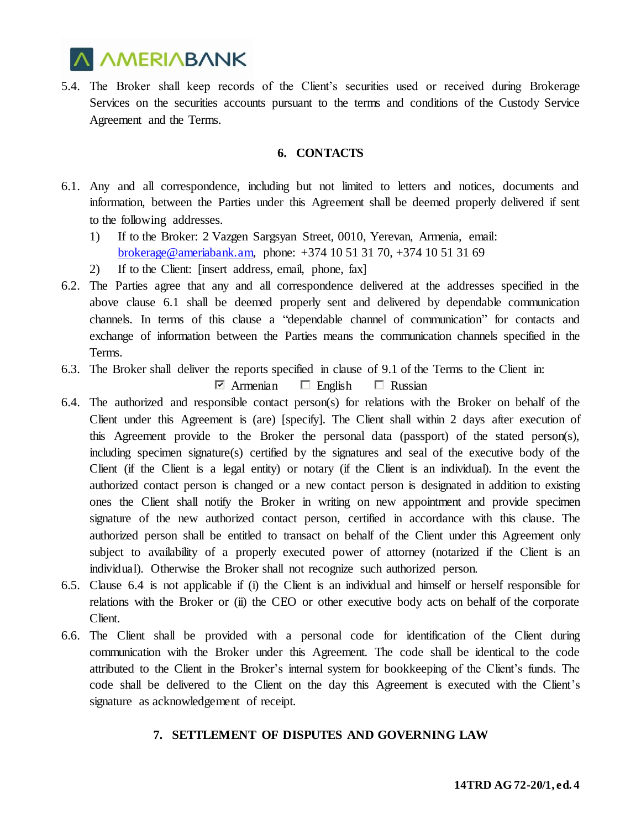

5.4. The Broker shall keep records of the Client's securities used or received during Brokerage Services on the securities accounts pursuant to the terms and conditions of the Custody Service Agreement and the Terms.

### **6. CONTACTS**

- 6.1. Any and all correspondence, including but not limited to letters and notices, documents and information, between the Parties under this Agreement shall be deemed properly delivered if sent to the following addresses.
	- 1) If to the Broker: 2 Vazgen Sargsyan Street, 0010, Yerevan, Armenia, email: [brokerage@ameriabank.am,](mailto:brokerage@ameriabank.am) phone: +374 10 51 31 70, +374 10 51 31 69
	- 2) If to the Client: [insert address, email, phone, fax]
- 6.2. The Parties agree that any and all correspondence delivered at the addresses specified in the above clause 6.1 shall be deemed properly sent and delivered by dependable communication channels. In terms of this clause a "dependable channel of communication" for contacts and exchange of information between the Parties means the communication channels specified in the Terms.
- 6.3. The Broker shall deliver the reports specified in clause of 9.1 of the Terms to the Client in:

 $\Box$  Armenian  $\Box$  English  $\Box$  Russian

- 6.4. The authorized and responsible contact person(s) for relations with the Broker on behalf of the Client under this Agreement is (are) [specify]. The Client shall within 2 days after execution of this Agreement provide to the Broker the personal data (passport) of the stated person(s), including specimen signature(s) certified by the signatures and seal of the executive body of the Client (if the Client is a legal entity) or notary (if the Client is an individual). In the event the authorized contact person is changed or a new contact person is designated in addition to existing ones the Client shall notify the Broker in writing on new appointment and provide specimen signature of the new authorized contact person, certified in accordance with this clause. The authorized person shall be entitled to transact on behalf of the Client under this Agreement only subject to availability of a properly executed power of attorney (notarized if the Client is an individual). Otherwise the Broker shall not recognize such authorized person.
- 6.5. Clause 6.4 is not applicable if (i) the Client is an individual and himself or herself responsible for relations with the Broker or (ii) the CEO or other executive body acts on behalf of the corporate Client.
- 6.6. The Client shall be provided with a personal code for identification of the Client during communication with the Broker under this Agreement. The code shall be identical to the code attributed to the Client in the Broker's internal system for bookkeeping of the Client's funds. The code shall be delivered to the Client on the day this Agreement is executed with the Client's signature as acknowledgement of receipt.

## **7. SETTLEMENT OF DISPUTES AND GOVERNING LAW**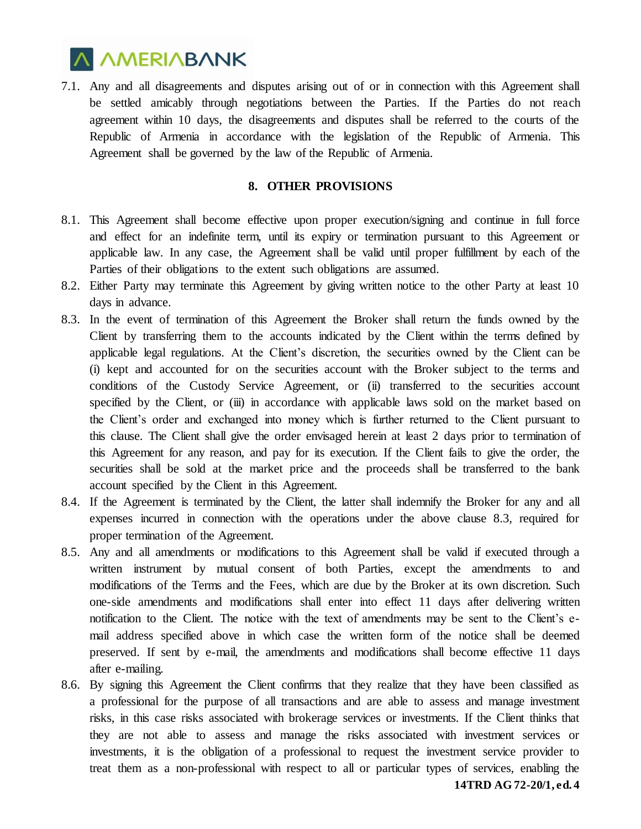

7.1. Any and all disagreements and disputes arising out of or in connection with this Agreement shall be settled amicably through negotiations between the Parties. If the Parties do not reach agreement within 10 days, the disagreements and disputes shall be referred to the courts of the Republic of Armenia in accordance with the legislation of the Republic of Armenia. This Agreement shall be governed by the law of the Republic of Armenia.

#### **8. OTHER PROVISIONS**

- 8.1. This Agreement shall become effective upon proper execution/signing and continue in full force and effect for an indefinite term, until its expiry or termination pursuant to this Agreement or applicable law. In any case, the Agreement shall be valid until proper fulfillment by each of the Parties of their obligations to the extent such obligations are assumed.
- 8.2. Either Party may terminate this Agreement by giving written notice to the other Party at least 10 days in advance.
- 8.3. In the event of termination of this Agreement the Broker shall return the funds owned by the Client by transferring them to the accounts indicated by the Client within the terms defined by applicable legal regulations. At the Client's discretion, the securities owned by the Client can be (i) kept and accounted for on the securities account with the Broker subject to the terms and conditions of the Custody Service Agreement, or (ii) transferred to the securities account specified by the Client, or (iii) in accordance with applicable laws sold on the market based on the Client's order and exchanged into money which is further returned to the Client pursuant to this clause. The Client shall give the order envisaged herein at least 2 days prior to termination of this Agreement for any reason, and pay for its execution. If the Client fails to give the order, the securities shall be sold at the market price and the proceeds shall be transferred to the bank account specified by the Client in this Agreement.
- 8.4. If the Agreement is terminated by the Client, the latter shall indemnify the Broker for any and all expenses incurred in connection with the operations under the above clause 8.3, required for proper termination of the Agreement.
- 8.5. Any and all amendments or modifications to this Agreement shall be valid if executed through a written instrument by mutual consent of both Parties, except the amendments to and modifications of the Terms and the Fees, which are due by the Broker at its own discretion. Such one-side amendments and modifications shall enter into effect 11 days after delivering written notification to the Client. The notice with the text of amendments may be sent to the Client's email address specified above in which case the written form of the notice shall be deemed preserved. If sent by e-mail, the amendments and modifications shall become effective 11 days after e-mailing.
- 8.6. By signing this Agreement the Client confirms that they realize that they have been classified as a professional for the purpose of all transactions and are able to assess and manage investment risks, in this case risks associated with brokerage services or investments. If the Client thinks that they are not able to assess and manage the risks associated with investment services or investments, it is the obligation of a professional to request the investment service provider to treat them as a non-professional with respect to all or particular types of services, enabling the